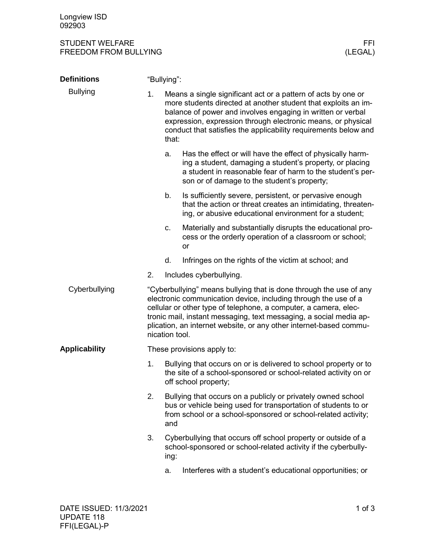## STUDENT WELFARE FFINDENT WELFARE FREEDOM FROM BULLYING AND THE SERVICE OF THE SERVICE OF THE SERVICE OF THE SE FREEDOM FROM BULLYING

| <b>Definitions</b>   | "Bullying":                                                                                                                                                                                                                                                                                                                                                             |                                                                                                                                                                                                        |                                                                                                                                                                                                                                                                                                                                   |  |  |
|----------------------|-------------------------------------------------------------------------------------------------------------------------------------------------------------------------------------------------------------------------------------------------------------------------------------------------------------------------------------------------------------------------|--------------------------------------------------------------------------------------------------------------------------------------------------------------------------------------------------------|-----------------------------------------------------------------------------------------------------------------------------------------------------------------------------------------------------------------------------------------------------------------------------------------------------------------------------------|--|--|
| <b>Bullying</b>      | 1.                                                                                                                                                                                                                                                                                                                                                                      | that:                                                                                                                                                                                                  | Means a single significant act or a pattern of acts by one or<br>more students directed at another student that exploits an im-<br>balance of power and involves engaging in written or verbal<br>expression, expression through electronic means, or physical<br>conduct that satisfies the applicability requirements below and |  |  |
|                      |                                                                                                                                                                                                                                                                                                                                                                         | a.                                                                                                                                                                                                     | Has the effect or will have the effect of physically harm-<br>ing a student, damaging a student's property, or placing<br>a student in reasonable fear of harm to the student's per-<br>son or of damage to the student's property;                                                                                               |  |  |
|                      |                                                                                                                                                                                                                                                                                                                                                                         | b.                                                                                                                                                                                                     | Is sufficiently severe, persistent, or pervasive enough<br>that the action or threat creates an intimidating, threaten-<br>ing, or abusive educational environment for a student;                                                                                                                                                 |  |  |
|                      |                                                                                                                                                                                                                                                                                                                                                                         | c.                                                                                                                                                                                                     | Materially and substantially disrupts the educational pro-<br>cess or the orderly operation of a classroom or school;<br>or                                                                                                                                                                                                       |  |  |
|                      |                                                                                                                                                                                                                                                                                                                                                                         | d.                                                                                                                                                                                                     | Infringes on the rights of the victim at school; and                                                                                                                                                                                                                                                                              |  |  |
|                      | 2.                                                                                                                                                                                                                                                                                                                                                                      |                                                                                                                                                                                                        | Includes cyberbullying.                                                                                                                                                                                                                                                                                                           |  |  |
| Cyberbullying        | "Cyberbullying" means bullying that is done through the use of any<br>electronic communication device, including through the use of a<br>cellular or other type of telephone, a computer, a camera, elec-<br>tronic mail, instant messaging, text messaging, a social media ap-<br>plication, an internet website, or any other internet-based commu-<br>nication tool. |                                                                                                                                                                                                        |                                                                                                                                                                                                                                                                                                                                   |  |  |
| <b>Applicability</b> | These provisions apply to:                                                                                                                                                                                                                                                                                                                                              |                                                                                                                                                                                                        |                                                                                                                                                                                                                                                                                                                                   |  |  |
|                      | 1.                                                                                                                                                                                                                                                                                                                                                                      | Bullying that occurs on or is delivered to school property or to<br>the site of a school-sponsored or school-related activity on or<br>off school property;                                            |                                                                                                                                                                                                                                                                                                                                   |  |  |
|                      | 2.                                                                                                                                                                                                                                                                                                                                                                      | Bullying that occurs on a publicly or privately owned school<br>bus or vehicle being used for transportation of students to or<br>from school or a school-sponsored or school-related activity;<br>and |                                                                                                                                                                                                                                                                                                                                   |  |  |
|                      | 3.                                                                                                                                                                                                                                                                                                                                                                      | ing:                                                                                                                                                                                                   | Cyberbullying that occurs off school property or outside of a<br>school-sponsored or school-related activity if the cyberbully-                                                                                                                                                                                                   |  |  |
|                      |                                                                                                                                                                                                                                                                                                                                                                         | a.                                                                                                                                                                                                     | Interferes with a student's educational opportunities; or                                                                                                                                                                                                                                                                         |  |  |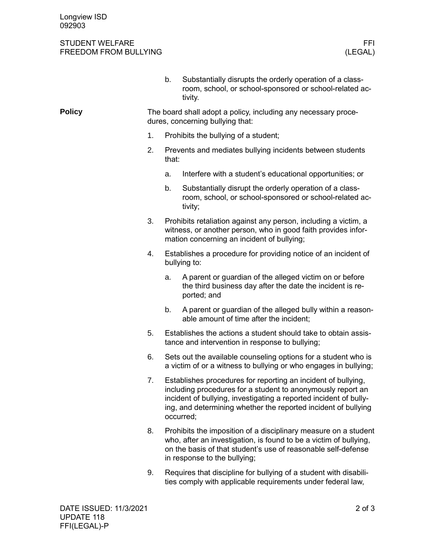## STUDENT WELFARE FFINDENT WELFARE FREEDOM FROM BULLYING FREEDOM FROM BULLYING

|               |                                                                                                    | b.                                                                                                                                                                                                                                                                               | Substantially disrupts the orderly operation of a class-<br>room, school, or school-sponsored or school-related ac-<br>tivity.                                                                                                        |  |  |
|---------------|----------------------------------------------------------------------------------------------------|----------------------------------------------------------------------------------------------------------------------------------------------------------------------------------------------------------------------------------------------------------------------------------|---------------------------------------------------------------------------------------------------------------------------------------------------------------------------------------------------------------------------------------|--|--|
| <b>Policy</b> | The board shall adopt a policy, including any necessary proce-<br>dures, concerning bullying that: |                                                                                                                                                                                                                                                                                  |                                                                                                                                                                                                                                       |  |  |
|               | 1.                                                                                                 | Prohibits the bullying of a student;                                                                                                                                                                                                                                             |                                                                                                                                                                                                                                       |  |  |
|               | 2.                                                                                                 | Prevents and mediates bullying incidents between students<br>that:                                                                                                                                                                                                               |                                                                                                                                                                                                                                       |  |  |
|               |                                                                                                    | a.                                                                                                                                                                                                                                                                               | Interfere with a student's educational opportunities; or                                                                                                                                                                              |  |  |
|               |                                                                                                    | b.                                                                                                                                                                                                                                                                               | Substantially disrupt the orderly operation of a class-<br>room, school, or school-sponsored or school-related ac-<br>tivity;                                                                                                         |  |  |
|               | 3.                                                                                                 |                                                                                                                                                                                                                                                                                  | Prohibits retaliation against any person, including a victim, a<br>witness, or another person, who in good faith provides infor-<br>mation concerning an incident of bullying;                                                        |  |  |
|               | 4.                                                                                                 |                                                                                                                                                                                                                                                                                  | Establishes a procedure for providing notice of an incident of<br>bullying to:                                                                                                                                                        |  |  |
|               |                                                                                                    | a.                                                                                                                                                                                                                                                                               | A parent or guardian of the alleged victim on or before<br>the third business day after the date the incident is re-<br>ported; and                                                                                                   |  |  |
|               |                                                                                                    | b.                                                                                                                                                                                                                                                                               | A parent or guardian of the alleged bully within a reason-<br>able amount of time after the incident;                                                                                                                                 |  |  |
|               | 5.                                                                                                 |                                                                                                                                                                                                                                                                                  | Establishes the actions a student should take to obtain assis-<br>tance and intervention in response to bullying;                                                                                                                     |  |  |
|               | 6.                                                                                                 | Sets out the available counseling options for a student who is<br>a victim of or a witness to bullying or who engages in bullying;                                                                                                                                               |                                                                                                                                                                                                                                       |  |  |
|               | 7.                                                                                                 | Establishes procedures for reporting an incident of bullying,<br>including procedures for a student to anonymously report an<br>incident of bullying, investigating a reported incident of bully-<br>ing, and determining whether the reported incident of bullying<br>occurred; |                                                                                                                                                                                                                                       |  |  |
|               | 8.                                                                                                 |                                                                                                                                                                                                                                                                                  | Prohibits the imposition of a disciplinary measure on a student<br>who, after an investigation, is found to be a victim of bullying,<br>on the basis of that student's use of reasonable self-defense<br>in response to the bullying; |  |  |
|               | 9.                                                                                                 |                                                                                                                                                                                                                                                                                  | Requires that discipline for bullying of a student with disabili-<br>ties comply with applicable requirements under federal law,                                                                                                      |  |  |